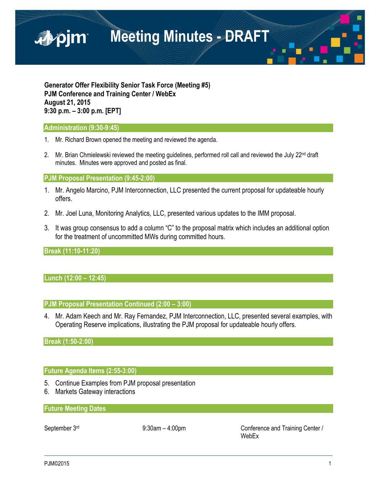

**Generator Offer Flexibility Senior Task Force (Meeting #5) PJM Conference and Training Center / WebEx August 21, 2015 9:30 p.m. – 3:00 p.m. [EPT]**

### **Administration (9:30-9:45)**

- 1. Mr. Richard Brown opened the meeting and reviewed the agenda.
- 2. Mr. Brian Chmielewski reviewed the meeting quidelines, performed roll call and reviewed the July  $22<sup>nd</sup>$  draft minutes. Minutes were approved and posted as final.

### **PJM Proposal Presentation (9:45-2:00)**

- 1. Mr. Angelo Marcino, PJM Interconnection, LLC presented the current proposal for updateable hourly offers.
- 2. Mr. Joel Luna, Monitoring Analytics, LLC, presented various updates to the IMM proposal.
- 3. It was group consensus to add a column "C" to the proposal matrix which includes an additional option for the treatment of uncommitted MWs during committed hours.

# **Break (11:10-11:20)**

# **Lunch (12:00 – 12:45)**

### **PJM Proposal Presentation Continued (2:00 – 3:00)**

4. Mr. Adam Keech and Mr. Ray Fernandez, PJM Interconnection, LLC, presented several examples, with Operating Reserve implications, illustrating the PJM proposal for updateable hourly offers.

### **Break (1:50-2:00)**

### **Future Agenda Items (2:55-3:00)**

- 5. Continue Examples from PJM proposal presentation
- 6. Markets Gateway interactions

# **Future Meeting Dates**

September 3<sup>rd</sup> 9:30am – 4:00pm Conference and Training Center / WebEx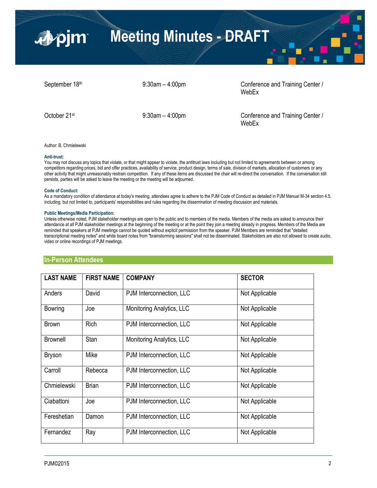

September 18<sup>th</sup> 9:30am – 4:00pm Conference and Training Center / WebEx

October 21<sup>st</sup> 9:30am – 4:00pm Conference and Training Center / WebEx

Author: B. Chmielewski

#### **Anti-trust:**

You may not discuss any topics that violate, or that might appear to violate, the antitrust laws including but not limited to agreements between or among competitors regarding prices, bid and offer practices, availability of service, product design, terms of sale, division of markets, allocation of customers or any other activity that might unreasonably restrain competition. If any of these items are discussed the chair will re-direct the conversation. If the conversation still persists, parties will be asked to leave the meeting or the meeting will be adjourned.

#### **Code of Conduct:**

As a mandatory condition of attendance at today's meeting, attendees agree to adhere to the PJM Code of Conduct as detailed in PJM Manual M-34 section 4.5, including, but not limited to, participants' responsibilities and rules regarding the dissemination of meeting discussion and materials.

### **Public Meetings/Media Participation:**

Unless otherwise noted, PJM stakeholder meetings are open to the public and to members of the media. Members of the media are asked to announce their attendance at all PJM stakeholder meetings at the beginning of the meeting or at the point they join a meeting already in progress. Members of the Media are reminded that speakers at PJM meetings cannot be quoted without explicit permission from the speaker. PJM Members are reminded that "detailed transcriptional meeting notes" and white board notes from "brainstorming sessions" shall not be disseminated. Stakeholders are also not allowed to create audio, video or online recordings of PJM meetings.

# PJM©2015 2 **In-Person Attendees LAST NAME FIRST NAME COMPANY SECTOR** Anders | David | PJM Interconnection, LLC | Not Applicable Bowring | Joe | Monitoring Analytics, LLC | Not Applicable Brown | Rich | PJM Interconnection, LLC | Not Applicable Brownell Stan Monitoring Analytics, LLC Not Applicable Bryson | Mike | PJM Interconnection, LLC | Not Applicable Carroll Rebecca PJM Interconnection, LLC Not Applicable Chmielewski | Brian | PJM Interconnection, LLC | Not Applicable Ciabattoni | Joe | PJM Interconnection, LLC | Not Applicable Fereshetian | Damon | PJM Interconnection, LLC | Not Applicable Fernandez | Ray | PJM Interconnection, LLC | Not Applicable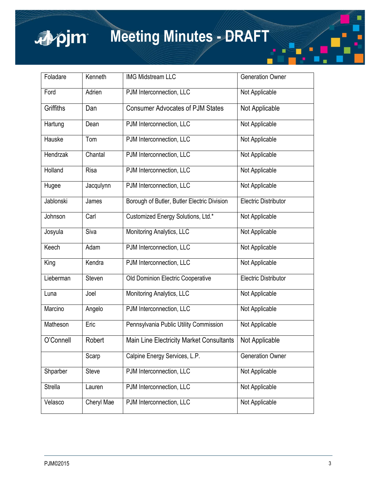

# **Meeting Minutes - DRAFT**

| Foladare       | Kenneth     | <b>IMG Midstream LLC</b>                        | <b>Generation Owner</b>     |
|----------------|-------------|-------------------------------------------------|-----------------------------|
| Ford           | Adrien      | PJM Interconnection, LLC                        | Not Applicable              |
| Griffiths      | Dan         | <b>Consumer Advocates of PJM States</b>         | Not Applicable              |
| Hartung        | Dean        | PJM Interconnection, LLC                        | Not Applicable              |
| Hauske         | Tom         | PJM Interconnection, LLC                        | Not Applicable              |
| Hendrzak       | Chantal     | PJM Interconnection, LLC                        | Not Applicable              |
| Holland        | <b>Risa</b> | PJM Interconnection, LLC                        | Not Applicable              |
| Hugee          | Jacqulynn   | PJM Interconnection, LLC                        | Not Applicable              |
| Jablonski      | James       | Borough of Butler, Butler Electric Division     | <b>Electric Distributor</b> |
| Johnson        | Carl        | Customized Energy Solutions, Ltd.*              | Not Applicable              |
| Josyula        | Siva        | Monitoring Analytics, LLC                       | Not Applicable              |
| Keech          | Adam        | PJM Interconnection, LLC                        | Not Applicable              |
| King           | Kendra      | PJM Interconnection, LLC                        | Not Applicable              |
| Lieberman      | Steven      | Old Dominion Electric Cooperative               | <b>Electric Distributor</b> |
| Luna           | Joel        | Monitoring Analytics, LLC                       | Not Applicable              |
| Marcino        | Angelo      | PJM Interconnection, LLC                        | Not Applicable              |
| Matheson       | Eric        | Pennsylvania Public Utility Commission          | Not Applicable              |
| O'Connell      | Robert      | <b>Main Line Electricity Market Consultants</b> | Not Applicable              |
|                | Scarp       | Calpine Energy Services, L.P.                   | <b>Generation Owner</b>     |
| Shparber       | Steve       | PJM Interconnection, LLC                        | Not Applicable              |
| <b>Strella</b> | Lauren      | PJM Interconnection, LLC                        | Not Applicable              |
| Velasco        | Cheryl Mae  | PJM Interconnection, LLC                        | Not Applicable              |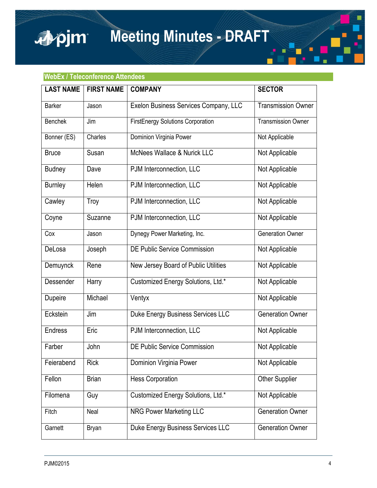**Meeting Minutes - DRAFT**

# **WebEx / Teleconference Attendees**

apjm

| <b>LAST NAME</b> | <b>FIRST NAME</b> | <b>COMPANY</b>                           | <b>SECTOR</b>             |
|------------------|-------------------|------------------------------------------|---------------------------|
| <b>Barker</b>    | Jason             | Exelon Business Services Company, LLC    | <b>Transmission Owner</b> |
| <b>Benchek</b>   | Jim               | <b>FirstEnergy Solutions Corporation</b> | <b>Transmission Owner</b> |
| Bonner (ES)      | Charles           | Dominion Virginia Power                  | Not Applicable            |
| <b>Bruce</b>     | Susan             | <b>McNees Wallace &amp; Nurick LLC</b>   | Not Applicable            |
| <b>Budney</b>    | Dave              | PJM Interconnection, LLC                 | Not Applicable            |
| <b>Burnley</b>   | Helen             | PJM Interconnection, LLC                 | Not Applicable            |
| Cawley           | Troy              | PJM Interconnection, LLC                 | Not Applicable            |
| Coyne            | Suzanne           | PJM Interconnection, LLC                 | Not Applicable            |
| Cox              | Jason             | Dynegy Power Marketing, Inc.             | <b>Generation Owner</b>   |
| DeLosa           | Joseph            | <b>DE Public Service Commission</b>      | Not Applicable            |
| Demuynck         | Rene              | New Jersey Board of Public Utilities     | Not Applicable            |
| Dessender        | Harry             | Customized Energy Solutions, Ltd.*       | Not Applicable            |
| Dupeire          | Michael           | Ventyx                                   | Not Applicable            |
| Eckstein         | Jim               | Duke Energy Business Services LLC        | <b>Generation Owner</b>   |
| <b>Endress</b>   | Eric              | PJM Interconnection, LLC                 | Not Applicable            |
| Farber           | John              | DE Public Service Commission             | Not Applicable            |
| Feierabend       | Rick              | Dominion Virginia Power                  | Not Applicable            |
| Fellon           | <b>Brian</b>      | <b>Hess Corporation</b>                  | <b>Other Supplier</b>     |
| Filomena         | Guy               | Customized Energy Solutions, Ltd.*       | Not Applicable            |
| Fitch            | Neal              | NRG Power Marketing LLC                  | <b>Generation Owner</b>   |
| Garnett          | <b>Bryan</b>      | Duke Energy Business Services LLC        | <b>Generation Owner</b>   |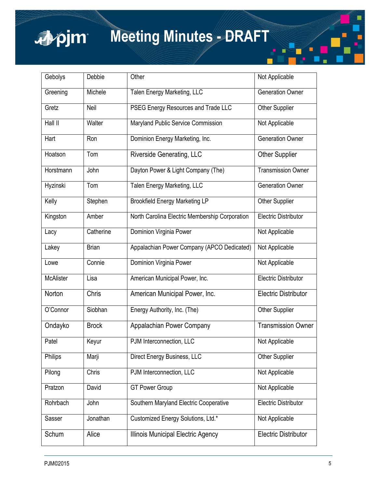# apjm

# **Meeting Minutes - DRAFT**

| Gebolys          | Debbie       | Other                                          | Not Applicable              |
|------------------|--------------|------------------------------------------------|-----------------------------|
| Greening         | Michele      | Talen Energy Marketing, LLC                    | <b>Generation Owner</b>     |
| Gretz            | Neil         | PSEG Energy Resources and Trade LLC            | <b>Other Supplier</b>       |
| Hall II          | Walter       | Maryland Public Service Commission             | Not Applicable              |
| Hart             | Ron          | Dominion Energy Marketing, Inc.                | <b>Generation Owner</b>     |
| Hoatson          | Tom          | <b>Riverside Generating, LLC</b>               | <b>Other Supplier</b>       |
| Horstmann        | John         | Dayton Power & Light Company (The)             | <b>Transmission Owner</b>   |
| Hyzinski         | Tom          | Talen Energy Marketing, LLC                    | <b>Generation Owner</b>     |
| Kelly            | Stephen      | <b>Brookfield Energy Marketing LP</b>          | Other Supplier              |
| Kingston         | Amber        | North Carolina Electric Membership Corporation | <b>Electric Distributor</b> |
| Lacy             | Catherine    | Dominion Virginia Power                        | Not Applicable              |
| Lakey            | <b>Brian</b> | Appalachian Power Company (APCO Dedicated)     | Not Applicable              |
| Lowe             | Connie       | Dominion Virginia Power                        | Not Applicable              |
| <b>McAlister</b> | Lisa         | American Municipal Power, Inc.                 | <b>Electric Distributor</b> |
| Norton           | Chris        | American Municipal Power, Inc.                 | <b>Electric Distributor</b> |
| O'Connor         | Siobhan      | Energy Authority, Inc. (The)                   | <b>Other Supplier</b>       |
| Ondayko          | <b>Brock</b> | Appalachian Power Company                      | <b>Transmission Owner</b>   |
| Patel            | Keyur        | PJM Interconnection, LLC                       | Not Applicable              |
| Philips          | Marji        | Direct Energy Business, LLC                    | <b>Other Supplier</b>       |
| Pilong           | Chris        | PJM Interconnection, LLC                       | Not Applicable              |
| Pratzon          | David        | <b>GT Power Group</b>                          | Not Applicable              |
| Rohrbach         | John         | Southern Maryland Electric Cooperative         | <b>Electric Distributor</b> |
| Sasser           | Jonathan     | Customized Energy Solutions, Ltd.*             | Not Applicable              |
| Schum            | Alice        | Illinois Municipal Electric Agency             | <b>Electric Distributor</b> |